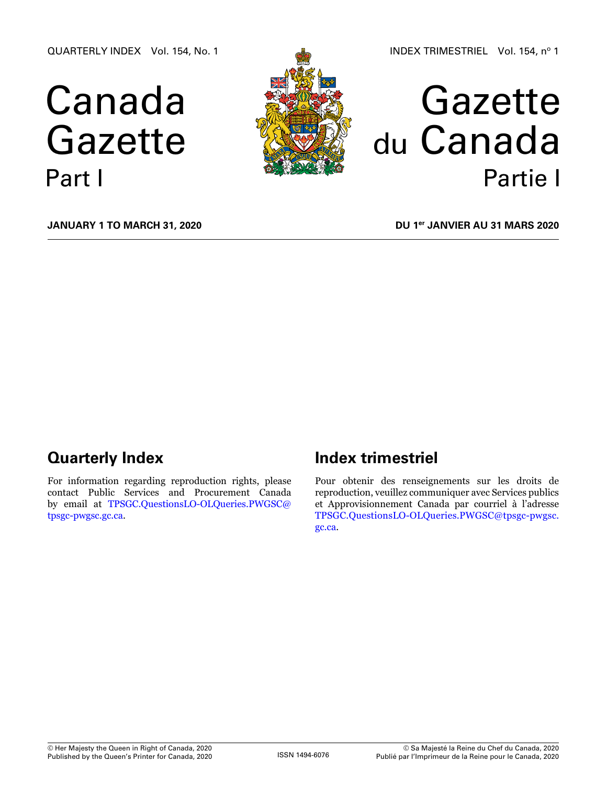QUARTERLY INDEX Vol. 154, No. 1

# Canada Gazette Part I



# Gazette du Canada Partie I

**January 1 to March 31, 2020**

**DU 1er janvier au 31 mars 2020**

# **Quarterly Index**

For information regarding reproduction rights, please contact Public Services and Procurement Canada by email at [TPSGC.QuestionsLO-OLQueries.PWGSC@](mailto:TPSGC.QuestionsLO-OLQueries.PWGSC%40tpsgc-pwgsc.gc.ca?subject=) [tpsgc-pwgsc.gc.ca](mailto:TPSGC.QuestionsLO-OLQueries.PWGSC%40tpsgc-pwgsc.gc.ca?subject=).

# **Index trimestriel**

Pour obtenir des renseignements sur les droits de reproduction, veuillez communiquer avec Services publics et Approvisionnement Canada par courriel à l'adresse [TPSGC.QuestionsLO-OLQueries.PWGSC@tpsgc-pwgsc.](mailto:TPSGC.QuestionsLO-OLQueries.PWGSC%40tpsgc-pwgsc.gc.ca?subject=) [gc.ca](mailto:TPSGC.QuestionsLO-OLQueries.PWGSC%40tpsgc-pwgsc.gc.ca?subject=).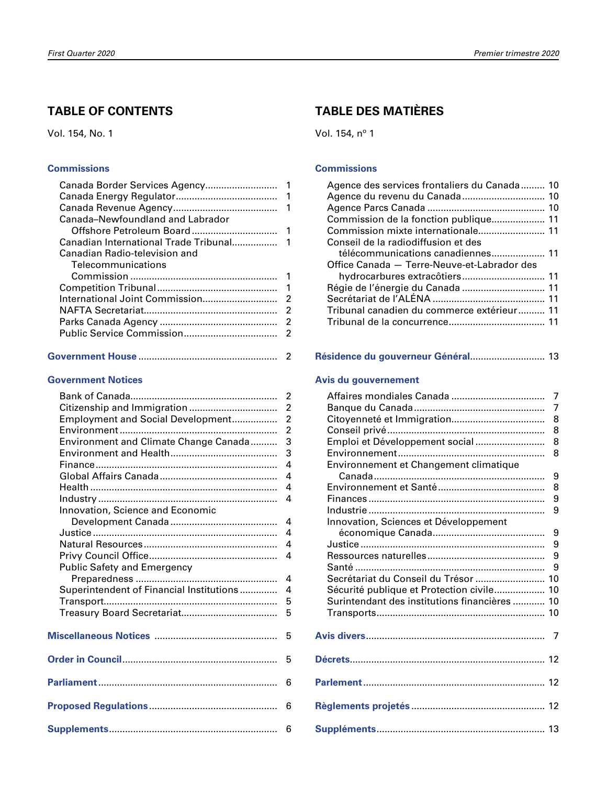# **TABLE OF CONTENTS**

Vol. 154, No. 1

#### **[Commissions](#page-2-0)**

| Canada-Newfoundland and Labrador |                         |
|----------------------------------|-------------------------|
| Offshore Petroleum Board         | $\overline{\mathbf{1}}$ |
|                                  |                         |
| Canadian Radio-television and    |                         |
| Telecommunications               |                         |
|                                  | 1                       |
|                                  | -1                      |
| International Joint Commission   | 2                       |
|                                  | 2                       |
|                                  | -2                      |
|                                  |                         |
|                                  |                         |
|                                  |                         |

|--|--|

#### **[Government Notices](#page-3-0)**

|                                          | 2              |
|------------------------------------------|----------------|
|                                          | $\overline{2}$ |
| Employment and Social Development        | $\overline{2}$ |
|                                          | $\overline{2}$ |
| Environment and Climate Change Canada    | 3              |
|                                          | 3              |
|                                          | 4              |
|                                          | 4              |
|                                          | 4              |
|                                          | 4              |
| Innovation, Science and Economic         |                |
|                                          | 4              |
|                                          | 4              |
|                                          | 4              |
|                                          | 4              |
| <b>Public Safety and Emergency</b>       |                |
|                                          | 4              |
| Superintendent of Financial Institutions | 4              |
|                                          | 5              |
|                                          | 5              |
|                                          |                |
|                                          | 5              |
|                                          |                |
|                                          | 5              |
|                                          |                |
|                                          | 6              |
|                                          |                |
|                                          | 6              |
|                                          |                |
|                                          | 6              |

# **TABLE DES MATIÈRES**

Vol. 154, nº 1

#### **[Commissions](#page-11-0)**

| Agence des services frontaliers du Canada 10 |  |
|----------------------------------------------|--|
| Agence du revenu du Canada 10                |  |
|                                              |  |
| Commission de la fonction publique 11        |  |
| Commission mixte internationale 11           |  |
| Conseil de la radiodiffusion et des          |  |
| télécommunications canadiennes 11            |  |
| Office Canada - Terre-Neuve-et-Labrador des  |  |
| hydrocarbures extracôtiers 11                |  |
|                                              |  |
|                                              |  |
| Tribunal canadien du commerce extérieur 11   |  |
|                                              |  |
|                                              |  |

#### **[Résidence du gouverneur Général](#page-14-0)**............................ 13

#### **[Avis du gouvernement](#page-8-0)**

|                                               | 7              |
|-----------------------------------------------|----------------|
|                                               | $\overline{7}$ |
|                                               | 8              |
|                                               | 8              |
| Emploi et Développement social                | 8              |
|                                               | 8              |
| Environnement et Changement climatique        |                |
|                                               | 9              |
|                                               | 8              |
|                                               | 9              |
|                                               | 9              |
| Innovation, Sciences et Développement         |                |
|                                               | 9              |
|                                               | 9              |
|                                               | 9              |
|                                               | 9              |
| Secrétariat du Conseil du Trésor  10          |                |
| Sécurité publique et Protection civile 10     |                |
| Surintendant des institutions financières  10 |                |
|                                               |                |
|                                               |                |
|                                               | 7              |
|                                               |                |
|                                               |                |
|                                               |                |
|                                               |                |
|                                               |                |
|                                               |                |
|                                               |                |
|                                               |                |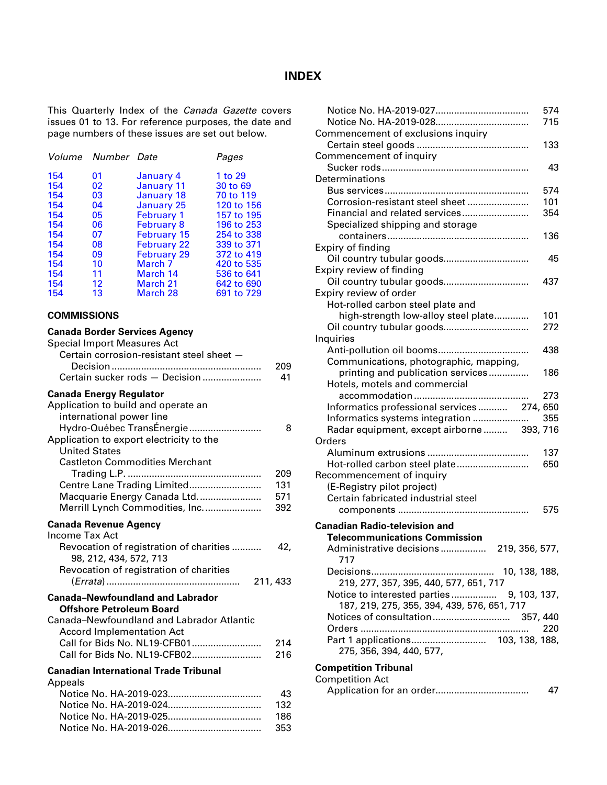#### **INDEX**

<span id="page-2-0"></span>This Quarterly Index of the *Canada Gazette* covers issues 01 to 13. For reference purposes, the date and page numbers of these issues are set out below.

|     | Volume Number Date |                    | Pages      |
|-----|--------------------|--------------------|------------|
| 154 | 01                 | January 4          | 1 to 29    |
| 154 | 02                 | January 11         | 30 to 69   |
| 154 | 03                 | January 18         | 70 to 119  |
| 154 | 04                 | January 25         | 120 to 156 |
| 154 | 05                 | <b>February 1</b>  | 157 to 195 |
| 154 | 06                 | <b>February 8</b>  | 196 to 253 |
| 154 | 07                 | <b>February 15</b> | 254 to 338 |
| 154 | 08                 | <b>February 22</b> | 339 to 371 |
| 154 | 09                 | <b>February 29</b> | 372 to 419 |
| 154 | 10                 | March <sub>7</sub> | 420 to 535 |
| 154 | 11                 | March 14           | 536 to 641 |
| 154 | $12 \,$            | March 21           | 642 to 690 |
| 154 | 13                 | March 28           | 691 to 729 |

#### **COMMISSIONS**

#### **Canada Border Services Agency** Special Import Measures Act

| ορεσιαι ππροπ ινισαδατοδ Αστ<br>Certain corrosion-resistant steel sheet -<br>Certain sucker rods - Decision                    | 209<br>41 |
|--------------------------------------------------------------------------------------------------------------------------------|-----------|
| <b>Canada Energy Regulator</b><br>Application to build and operate an<br>international power line<br>Hydro-Québec TransÉnergie | 8         |
| Application to export electricity to the<br><b>United States</b><br><b>Castleton Commodities Merchant</b>                      |           |
|                                                                                                                                | 209       |
| Centre Lane Trading Limited                                                                                                    | 131       |
| Macquarie Energy Canada Ltd                                                                                                    | 571       |
| Merrill Lynch Commodities, Inc.                                                                                                | 392       |
| <b>Canada Revenue Agency</b><br><b>Income Tax Act</b>                                                                          |           |
| Revocation of registration of charities<br>98, 212, 434, 572, 713                                                              | 42.       |
| Revocation of registration of charities                                                                                        | 211, 433  |
| <b>Canada-Newfoundland and Labrador</b>                                                                                        |           |
| <b>Offshore Petroleum Board</b>                                                                                                |           |
| Canada-Newfoundland and Labrador Atlantic<br><b>Accord Implementation Act</b>                                                  |           |
| Call for Bids No. NL19-CFB01                                                                                                   | 214       |
| Call for Bids No. NL19-CFB02                                                                                                   | 216       |
| <b>Canadian International Trade Tribunal</b>                                                                                   |           |
| Appeals                                                                                                                        |           |
|                                                                                                                                | 43        |
|                                                                                                                                | 132       |
|                                                                                                                                | 186       |
|                                                                                                                                |           |

Notice No. HA-2019-026................................... 353

|                                              | 574 |
|----------------------------------------------|-----|
|                                              | 715 |
| Commencement of exclusions inquiry           |     |
|                                              | 133 |
| Commencement of inquiry                      |     |
|                                              | 43  |
| Determinations                               |     |
|                                              | 574 |
| Corrosion-resistant steel sheet              | 101 |
| Financial and related services               | 354 |
| Specialized shipping and storage             |     |
|                                              | 136 |
| Expiry of finding                            |     |
| Oil country tubular goods                    | 45  |
| Expiry review of finding                     |     |
|                                              | 437 |
| Expiry review of order                       |     |
| Hot-rolled carbon steel plate and            |     |
| high-strength low-alloy steel plate          | 101 |
|                                              | 272 |
| Inquiries                                    |     |
|                                              | 438 |
| Communications, photographic, mapping,       |     |
| printing and publication services            | 186 |
| Hotels, motels and commercial                |     |
|                                              | 273 |
| Informatics professional services 274, 650   |     |
| Informatics systems integration              | 355 |
| Radar equipment, except airborne  393, 716   |     |
| Orders                                       |     |
|                                              | 137 |
| Hot-rolled carbon steel plate                | 650 |
| Recommencement of inquiry                    |     |
| (E-Registry pilot project)                   |     |
| Certain fabricated industrial steel          |     |
|                                              | 575 |
|                                              |     |
| <b>Canadian Radio-television and</b>         |     |
| <b>Telecommunications Commission</b>         |     |
| Administrative decisions 219, 356, 577,      |     |
| 717                                          |     |
|                                              |     |
| 219, 277, 357, 395, 440, 577, 651, 717       |     |
| Notice to interested parties<br>9, 103, 137, |     |
| 187, 219, 275, 355, 394, 439, 576, 651, 717  |     |
|                                              |     |
|                                              | 220 |
|                                              |     |
| 275, 356, 394, 440, 577,                     |     |
| <b>Competition Tribunal</b>                  |     |
| <b>Competition Act</b>                       |     |
|                                              | 47  |
|                                              |     |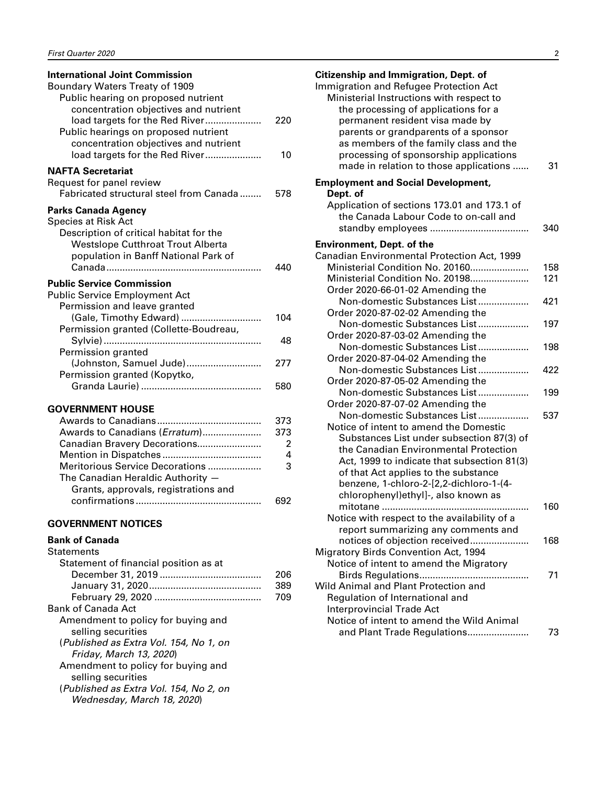<span id="page-3-0"></span>

| <b>International Joint Commission</b>    |     |
|------------------------------------------|-----|
| Boundary Waters Treaty of 1909           |     |
| Public hearing on proposed nutrient      |     |
| concentration objectives and nutrient    |     |
| load targets for the Red River           | 220 |
| Public hearings on proposed nutrient     |     |
| concentration objectives and nutrient    |     |
| load targets for the Red River           | 10  |
| <b>NAFTA Secretariat</b>                 |     |
| Request for panel review                 |     |
| Fabricated structural steel from Canada  | 578 |
| <b>Parks Canada Agency</b>               |     |
| <b>Species at Risk Act</b>               |     |
| Description of critical habitat for the  |     |
| <b>Westslope Cutthroat Trout Alberta</b> |     |
| population in Banff National Park of     |     |
|                                          | 440 |
| <b>Public Service Commission</b>         |     |
| <b>Public Service Employment Act</b>     |     |
| Permission and leave granted             |     |
| (Gale, Timothy Edward)                   | 104 |
| Permission granted (Collette-Boudreau,   |     |
|                                          | 48  |
| Permission granted                       |     |
| (Johnston, Samuel Jude)                  | 277 |
| Permission granted (Kopytko,             |     |
|                                          | 580 |
| <b>GOVERNMENT HOUSE</b>                  |     |
|                                          | 373 |
| Awards to Canadians (Erratum)            | 373 |
| Canadian Bravery Decorations             | 2   |
|                                          | 4   |
| Meritorious Service Decorations          | 3   |

|  | <b>GOVERNMENT NOTICES</b> |  |
|--|---------------------------|--|

The Canadian Heraldic Authority — Grants, approvals, registrations and

#### **Bank of Canada**

| <b>Statements</b>                      |     |
|----------------------------------------|-----|
| Statement of financial position as at  |     |
|                                        | 206 |
|                                        | 389 |
|                                        | 709 |
| Bank of Canada Act                     |     |
| Amendment to policy for buying and     |     |
| selling securities                     |     |
| (Published as Extra Vol. 154, No 1, on |     |
| Friday, March 13, 2020)                |     |
| Amendment to policy for buying and     |     |
| selling securities                     |     |
| (Published as Extra Vol. 154, No 2, on |     |
| Wednesday, March 18, 2020)             |     |
|                                        |     |

confirmations ............................................... 692

| <b>Citizenship and Immigration, Dept. of</b>                                   |            |
|--------------------------------------------------------------------------------|------------|
| Immigration and Refugee Protection Act                                         |            |
| Ministerial Instructions with respect to                                       |            |
| the processing of applications for a                                           |            |
| permanent resident visa made by                                                |            |
| parents or grandparents of a sponsor                                           |            |
| as members of the family class and the                                         |            |
| processing of sponsorship applications                                         |            |
| made in relation to those applications                                         | 31         |
| <b>Employment and Social Development,</b>                                      |            |
| Dept. of                                                                       |            |
| Application of sections 173.01 and 173.1 of                                    |            |
| the Canada Labour Code to on-call and                                          |            |
|                                                                                | 340        |
|                                                                                |            |
| <b>Environment, Dept. of the</b>                                               |            |
| Canadian Environmental Protection Act, 1999<br>Ministerial Condition No. 20160 |            |
| Ministerial Condition No. 20198                                                | 158<br>121 |
|                                                                                |            |
| Order 2020-66-01-02 Amending the<br>Non-domestic Substances List               | 421        |
| Order 2020-87-02-02 Amending the                                               |            |
| Non-domestic Substances List                                                   | 197        |
| Order 2020-87-03-02 Amending the                                               |            |
| Non-domestic Substances List                                                   | 198        |
| Order 2020-87-04-02 Amending the                                               |            |
| Non-domestic Substances List                                                   | 422        |
| Order 2020-87-05-02 Amending the                                               |            |
| Non-domestic Substances List                                                   | 199        |
| Order 2020-87-07-02 Amending the                                               |            |
| Non-domestic Substances List                                                   | 537        |
| Notice of intent to amend the Domestic                                         |            |
| Substances List under subsection 87(3) of                                      |            |
| the Canadian Environmental Protection                                          |            |
| Act, 1999 to indicate that subsection 81(3)                                    |            |
| of that Act applies to the substance                                           |            |
| benzene, 1-chloro-2-[2,2-dichloro-1-(4-                                        |            |
| chlorophenyl)ethyl]-, also known as                                            |            |
|                                                                                | 160        |
| Notice with respect to the availability of a                                   |            |
| report summarizing any comments and                                            |            |
| notices of objection received                                                  | 168        |
| <b>Migratory Birds Convention Act, 1994</b>                                    |            |
| Notice of intent to amend the Migratory                                        |            |
|                                                                                | 71         |
| Wild Animal and Plant Protection and                                           |            |
| Regulation of International and                                                |            |
| <b>Interprovincial Trade Act</b>                                               |            |
| Notice of intent to amend the Wild Animal                                      |            |
| and Plant Trade Regulations                                                    | 73         |
|                                                                                |            |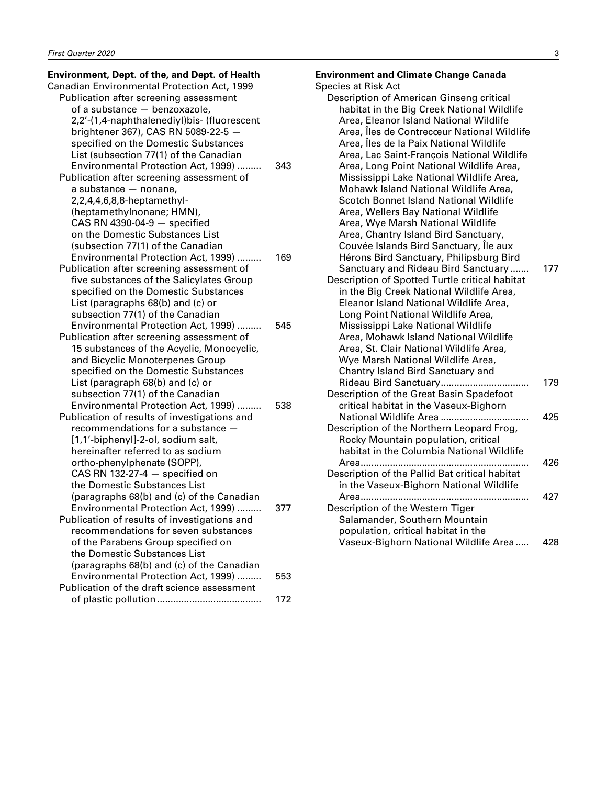# **Environment, Dept. of the, and Dept. of Health**

| Canadian Environmental Protection Act, 1999  |     |
|----------------------------------------------|-----|
| Publication after screening assessment       |     |
| of a substance - benzoxazole,                |     |
| 2,2'-(1,4-naphthalenediyl)bis- (fluorescent  |     |
| brightener 367), CAS RN 5089-22-5 -          |     |
| specified on the Domestic Substances         |     |
| List (subsection 77(1) of the Canadian       |     |
| Environmental Protection Act, 1999)          | 343 |
|                                              |     |
| Publication after screening assessment of    |     |
| a substance - nonane,                        |     |
| 2,2,4,4,6,8,8-heptamethyl-                   |     |
| (heptamethylnonane; HMN),                    |     |
| $CAS RN$ 4390-04-9 $-$ specified             |     |
| on the Domestic Substances List              |     |
| (subsection 77(1) of the Canadian            |     |
| Environmental Protection Act, 1999)          | 169 |
| Publication after screening assessment of    |     |
| five substances of the Salicylates Group     |     |
| specified on the Domestic Substances         |     |
| List (paragraphs 68(b) and (c) or            |     |
| subsection 77(1) of the Canadian             |     |
| Environmental Protection Act, 1999)          | 545 |
| Publication after screening assessment of    |     |
| 15 substances of the Acyclic, Monocyclic,    |     |
| and Bicyclic Monoterpenes Group              |     |
| specified on the Domestic Substances         |     |
| List (paragraph 68(b) and (c) or             |     |
| subsection 77(1) of the Canadian             |     |
|                                              |     |
| Environmental Protection Act, 1999)          | 538 |
| Publication of results of investigations and |     |
| recommendations for a substance -            |     |
| [1,1'-biphenyl]-2-ol, sodium salt,           |     |
| hereinafter referred to as sodium            |     |
| ortho-phenylphenate (SOPP),                  |     |
| CAS RN 132-27-4 $-$ specified on             |     |
| the Domestic Substances List                 |     |
| (paragraphs 68(b) and (c) of the Canadian    |     |
| Environmental Protection Act, 1999)          | 377 |
| Publication of results of investigations and |     |
| recommendations for seven substances         |     |
| of the Parabens Group specified on           |     |
| the Domestic Substances List                 |     |
| (paragraphs 68(b) and (c) of the Canadian    |     |
| Environmental Protection Act, 1999)          | 553 |
| Publication of the draft science assessment  |     |
|                                              | 172 |
|                                              |     |

| <b>Environment and Climate Change Canada</b>                                       |     |
|------------------------------------------------------------------------------------|-----|
| <b>Species at Risk Act</b>                                                         |     |
| Description of American Ginseng critical                                           |     |
| habitat in the Big Creek National Wildlife                                         |     |
| Area, Eleanor Island National Wildlife                                             |     |
| Area, Îles de Contrecœur National Wildlife                                         |     |
| Area, Îles de la Paix National Wildlife                                            |     |
| Area, Lac Saint-François National Wildlife                                         |     |
| Area, Long Point National Wildlife Area,                                           |     |
| Mississippi Lake National Wildlife Area,                                           |     |
| Mohawk Island National Wildlife Area,                                              |     |
| Scotch Bonnet Island National Wildlife                                             |     |
| Area, Wellers Bay National Wildlife                                                |     |
| Area, Wye Marsh National Wildlife                                                  |     |
| Area, Chantry Island Bird Sanctuary,                                               |     |
| Couvée Islands Bird Sanctuary, Île aux                                             |     |
| Hérons Bird Sanctuary, Philipsburg Bird                                            |     |
| Sanctuary and Rideau Bird Sanctuary                                                | 177 |
| Description of Spotted Turtle critical habitat                                     |     |
| in the Big Creek National Wildlife Area,                                           |     |
| Eleanor Island National Wildlife Area,                                             |     |
| Long Point National Wildlife Area,                                                 |     |
| Mississippi Lake National Wildlife                                                 |     |
| Area, Mohawk Island National Wildlife                                              |     |
| Area, St. Clair National Wildlife Area,                                            |     |
| Wye Marsh National Wildlife Area,                                                  |     |
| Chantry Island Bird Sanctuary and                                                  |     |
|                                                                                    | 179 |
| Description of the Great Basin Spadefoot<br>critical habitat in the Vaseux-Bighorn |     |
| National Wildlife Area                                                             | 425 |
| Description of the Northern Leopard Frog,                                          |     |
| Rocky Mountain population, critical                                                |     |
| habitat in the Columbia National Wildlife                                          |     |
| Area                                                                               | 426 |
| Description of the Pallid Bat critical habitat                                     |     |
| in the Vaseux-Bighorn National Wildlife                                            |     |
| Area<br>.                                                                          | 427 |
| Description of the Western Tiger                                                   |     |
| Salamander, Southern Mountain                                                      |     |
| population, critical habitat in the                                                |     |
|                                                                                    |     |

Vaseux-Bighorn National Wildlife Area ..... 428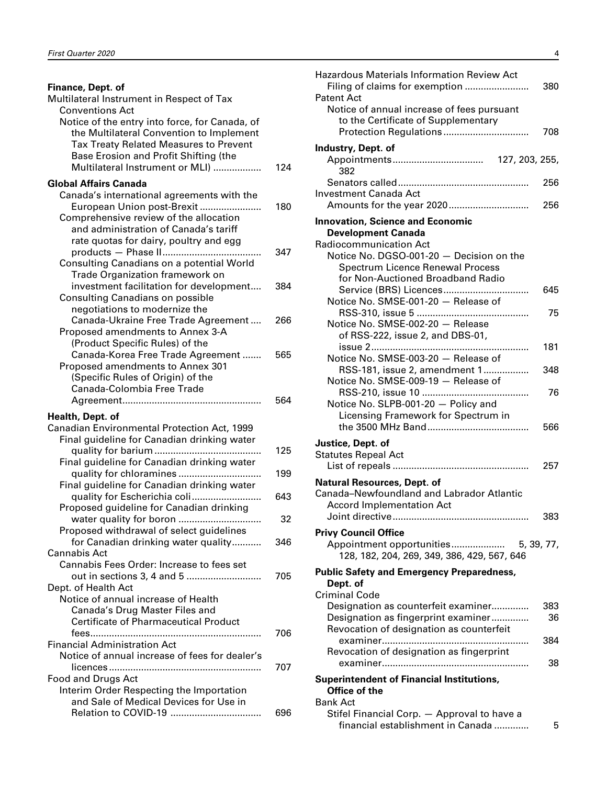| Finance, Dept. of                                                                          |     |
|--------------------------------------------------------------------------------------------|-----|
| Multilateral Instrument in Respect of Tax                                                  |     |
| <b>Conventions Act</b>                                                                     |     |
| Notice of the entry into force, for Canada, of<br>the Multilateral Convention to Implement |     |
| <b>Tax Treaty Related Measures to Prevent</b>                                              |     |
| Base Erosion and Profit Shifting (the                                                      |     |
| Multilateral Instrument or MLI)                                                            | 124 |
|                                                                                            |     |
| <b>Global Affairs Canada</b>                                                               |     |
| Canada's international agreements with the                                                 |     |
| European Union post-Brexit<br>Comprehensive review of the allocation                       | 180 |
| and administration of Canada's tariff                                                      |     |
| rate quotas for dairy, poultry and egg                                                     |     |
|                                                                                            | 347 |
| Consulting Canadians on a potential World                                                  |     |
| <b>Trade Organization framework on</b>                                                     |     |
| investment facilitation for development                                                    | 384 |
| <b>Consulting Canadians on possible</b>                                                    |     |
| negotiations to modernize the                                                              |     |
| Canada-Ukraine Free Trade Agreement                                                        | 266 |
| Proposed amendments to Annex 3-A                                                           |     |
| (Product Specific Rules) of the                                                            |     |
| Canada-Korea Free Trade Agreement                                                          | 565 |
| Proposed amendments to Annex 301                                                           |     |
| (Specific Rules of Origin) of the                                                          |     |
| Canada-Colombia Free Trade                                                                 |     |
|                                                                                            | 564 |
| Health, Dept. of                                                                           |     |
| Canadian Environmental Protection Act, 1999                                                |     |
| Final guideline for Canadian drinking water                                                |     |
|                                                                                            | 125 |
| Final guideline for Canadian drinking water                                                |     |
| quality for chloramines                                                                    | 199 |
| Final guideline for Canadian drinking water                                                |     |
| quality for Escherichia coli                                                               | 643 |
| Proposed guideline for Canadian drinking                                                   | 32  |
| Proposed withdrawal of select guidelines                                                   |     |
| for Canadian drinking water quality                                                        | 346 |
| Cannabis Act                                                                               |     |
| Cannabis Fees Order: Increase to fees set                                                  |     |
| out in sections 3, 4 and 5                                                                 | 705 |
| Dept. of Health Act                                                                        |     |
| Notice of annual increase of Health                                                        |     |
| Canada's Drug Master Files and                                                             |     |
| <b>Certificate of Pharmaceutical Product</b>                                               |     |
|                                                                                            | 706 |
| <b>Financial Administration Act</b>                                                        |     |
| Notice of annual increase of fees for dealer's                                             |     |
|                                                                                            | 707 |
| Food and Drugs Act                                                                         |     |
| Interim Order Respecting the Importation                                                   |     |
| and Sale of Medical Devices for Use in                                                     | 696 |
|                                                                                            |     |

| <b>Hazardous Materials Information Review Act</b><br><b>Patent Act</b> | 380 |
|------------------------------------------------------------------------|-----|
| Notice of annual increase of fees pursuant                             |     |
| to the Certificate of Supplementary                                    |     |
|                                                                        | 708 |
| Industry, Dept. of                                                     |     |
|                                                                        |     |
| 382                                                                    |     |
|                                                                        | 256 |
| <b>Investment Canada Act</b>                                           |     |
|                                                                        | 256 |
| <b>Innovation, Science and Economic</b>                                |     |
| <b>Development Canada</b>                                              |     |
| <b>Radiocommunication Act</b>                                          |     |
| Notice No. DGSO-001-20 - Decision on the                               |     |
| <b>Spectrum Licence Renewal Process</b>                                |     |
| for Non-Auctioned Broadband Radio                                      |     |
| Service (BRS) Licences                                                 | 645 |
| Notice No. SMSE-001-20 - Release of                                    |     |
|                                                                        | 75  |
| Notice No. SMSE-002-20 - Release                                       |     |
| of RSS-222, issue 2, and DBS-01,                                       |     |
|                                                                        | 181 |
| Notice No. SMSE-003-20 - Release of                                    |     |
| RSS-181, issue 2, amendment 1                                          | 348 |
| Notice No. SMSE-009-19 - Release of                                    |     |
|                                                                        | 76  |
| Notice No. SLPB-001-20 - Policy and                                    |     |
| Licensing Framework for Spectrum in                                    |     |
|                                                                        | 566 |
| Justice, Dept. of                                                      |     |
| <b>Statutes Repeal Act</b>                                             |     |
|                                                                        | 257 |
| <b>Natural Resources, Dept. of</b>                                     |     |
| Canada-Newfoundland and Labrador Atlantic                              |     |
| <b>Accord Implementation Act</b>                                       |     |
|                                                                        | 383 |
| <b>Privy Council Office</b>                                            |     |
|                                                                        |     |
| 128, 182, 204, 269, 349, 386, 429, 567, 646                            |     |
|                                                                        |     |
| <b>Public Safety and Emergency Preparedness,</b>                       |     |
| Dept. of<br><b>Criminal Code</b>                                       |     |
| Designation as counterfeit examiner                                    | 383 |
| Designation as fingerprint examiner                                    | 36  |
| Revocation of designation as counterfeit                               |     |
| examiner                                                               | 384 |
| Revocation of designation as fingerprint                               |     |
|                                                                        | 38  |
|                                                                        |     |
| <b>Superintendent of Financial Institutions,</b><br>Office of the      |     |
| Bank Act                                                               |     |
| Stifel Financial Corp. - Approval to have a                            |     |
| financial establishment in Canada                                      | 5   |
|                                                                        |     |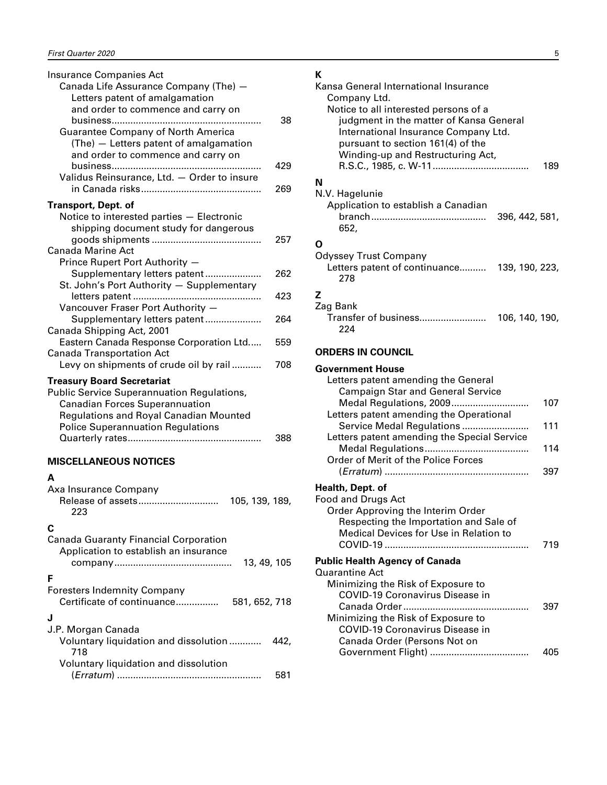<span id="page-6-0"></span>

| <b>Insurance Companies Act</b><br>Canada Life Assurance Company (The) -<br>Letters patent of amalgamation<br>and order to commence and carry on<br><b>Guarantee Company of North America</b><br>(The) - Letters patent of amalgamation<br>and order to commence and carry on | 38<br>429 |
|------------------------------------------------------------------------------------------------------------------------------------------------------------------------------------------------------------------------------------------------------------------------------|-----------|
| Validus Reinsurance, Ltd. - Order to insure                                                                                                                                                                                                                                  | 269       |
| Transport, Dept. of<br>Notice to interested parties - Electronic<br>shipping document study for dangerous<br><b>Canada Marine Act</b>                                                                                                                                        | 257       |
| Prince Rupert Port Authority -<br>Supplementary letters patent<br>St. John's Port Authority - Supplementary                                                                                                                                                                  | 262       |
| Vancouver Fraser Port Authority -                                                                                                                                                                                                                                            | 423       |
| Supplementary letters patent<br>Canada Shipping Act, 2001                                                                                                                                                                                                                    | 264       |
| Eastern Canada Response Corporation Ltd<br><b>Canada Transportation Act</b>                                                                                                                                                                                                  | 559       |
| Levy on shipments of crude oil by rail                                                                                                                                                                                                                                       | 708       |
| <b>Treasury Board Secretariat</b><br><b>Public Service Superannuation Regulations,</b><br><b>Canadian Forces Superannuation</b><br><b>Regulations and Royal Canadian Mounted</b><br><b>Police Superannuation Regulations</b>                                                 |           |
|                                                                                                                                                                                                                                                                              | 388       |

#### **MISCELLANEOUS NOTICES**

#### **A**

| Axa Insurance Company<br>105, 139, 189,<br>223                                                        |
|-------------------------------------------------------------------------------------------------------|
| C<br><b>Canada Guaranty Financial Corporation</b><br>Application to establish an insurance            |
| 13, 49, 105<br>F<br><b>Foresters Indemnity Company</b><br>Certificate of continuance<br>581, 652, 718 |
| J.P. Morgan Canada<br>Voluntary liquidation and dissolution<br>442,<br>718                            |
| Voluntary liquidation and dissolution<br>581                                                          |

## $\mathbf{v}$

| к<br>Kansa General International Insurance<br>Company Ltd.<br>Notice to all interested persons of a<br>judgment in the matter of Kansa General<br>International Insurance Company Ltd.<br>pursuant to section 161(4) of the<br>Winding-up and Restructuring Act, |            |
|------------------------------------------------------------------------------------------------------------------------------------------------------------------------------------------------------------------------------------------------------------------|------------|
|                                                                                                                                                                                                                                                                  | 189        |
| N<br>N.V. Hagelunie<br>Application to establish a Canadian<br>396, 442, 581,<br>652,                                                                                                                                                                             |            |
| O<br><b>Odyssey Trust Company</b><br>Letters patent of continuance 139, 190, 223,<br>278                                                                                                                                                                         |            |
| z<br>Zag Bank<br>224                                                                                                                                                                                                                                             |            |
| <b>ORDERS IN COUNCIL</b>                                                                                                                                                                                                                                         |            |
| <b>Government House</b><br>Letters patent amending the General<br><b>Campaign Star and General Service</b>                                                                                                                                                       |            |
| Medal Regulations, 2009<br>Letters patent amending the Operational<br>Service Medal Regulations                                                                                                                                                                  | 107<br>111 |
| Letters patent amending the Special Service<br>Order of Merit of the Police Forces                                                                                                                                                                               | 114        |
| Health, Dept. of<br>Food and Drugs Act<br>Order Approving the Interim Order<br>Respecting the Importation and Sale of<br>Medical Devices for Use in Relation to                                                                                                  | 397<br>719 |
| <b>Public Health Agency of Canada</b>                                                                                                                                                                                                                            |            |
| <b>Quarantine Act</b><br>Minimizing the Risk of Exposure to<br>COVID-19 Coronavirus Disease in<br>Minimizing the Risk of Exposure to<br><b>COVID-19 Coronavirus Disease in</b>                                                                                   | 397        |
| Canada Order (Persons Not on                                                                                                                                                                                                                                     | 405        |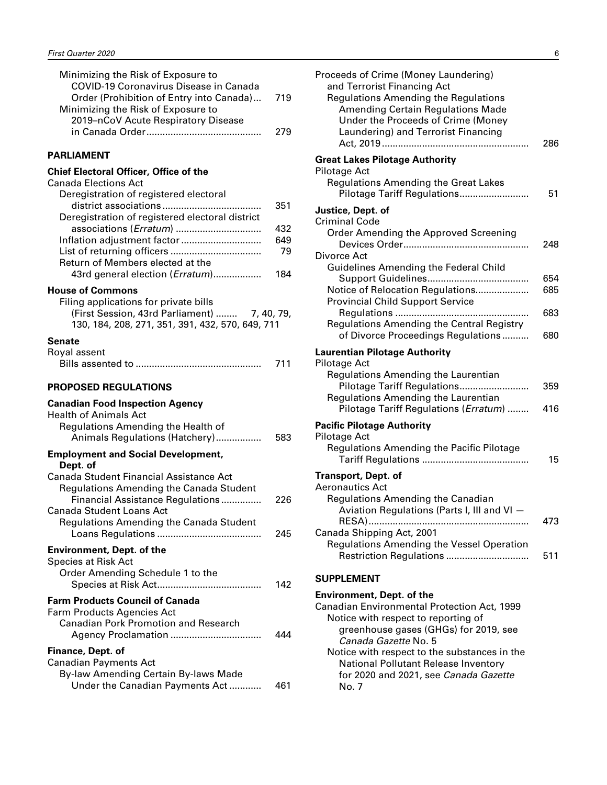<span id="page-7-0"></span>

| Minimizing the Risk of Exposure to            |     |
|-----------------------------------------------|-----|
| <b>COVID-19 Coronavirus Disease in Canada</b> |     |
| Order (Prohibition of Entry into Canada)      | 719 |
| Minimizing the Risk of Exposure to            |     |
| 2019–nCoV Acute Respiratory Disease           |     |
|                                               | 279 |
| <b>PARLIAMENT</b>                             |     |
| <b>Chief Electoral Officer, Office of the</b> |     |
| <b>Canada Elections Act</b>                   |     |
| Dens aletastica, ef as aleteas distribuci     |     |

| Deregistration of registered electoral          |     |
|-------------------------------------------------|-----|
|                                                 | 351 |
| Deregistration of registered electoral district |     |
|                                                 | 432 |
| Inflation adjustment factor                     | 649 |
|                                                 | 79  |
| Return of Members elected at the                |     |
| 43rd general election ( <i>Erratum</i> )        | 184 |
| $\mathbf{r}$                                    |     |

#### **House of Commons**

| Filing applications for private bills            |  |
|--------------------------------------------------|--|
| (First Session, 43rd Parliament)  7, 40, 79,     |  |
| 130, 184, 208, 271, 351, 391, 432, 570, 649, 711 |  |

#### **Senate**

| Royal assent |     |
|--------------|-----|
|              | 711 |

#### **PROPOSED REGULATIONS**

#### **Canadian Food Inspection Agency**

| <b>Health of Animals Act</b>                                                                                                                       |     |
|----------------------------------------------------------------------------------------------------------------------------------------------------|-----|
| Regulations Amending the Health of                                                                                                                 |     |
| Animals Regulations (Hatchery)                                                                                                                     | 583 |
| <b>Employment and Social Development,</b><br>Dept. of                                                                                              |     |
| Canada Student Financial Assistance Act<br>Regulations Amending the Canada Student<br>Financial Assistance Regulations<br>Canada Student Loans Act | 226 |
| Regulations Amending the Canada Student                                                                                                            | 245 |
| <b>Environment, Dept. of the</b><br><b>Species at Risk Act</b><br>Order Amending Schedule 1 to the                                                 | 142 |
| <b>Farm Products Council of Canada</b><br>Farm Products Agencies Act<br><b>Canadian Pork Promotion and Research</b>                                | 444 |
| Finance, Dept. of<br><b>Canadian Payments Act</b><br>By-law Amending Certain By-laws Made                                                          |     |
| Under the Canadian Payments Act                                                                                                                    | 461 |

| Proceeds of Crime (Money Laundering)<br>and Terrorist Financing Act<br><b>Regulations Amending the Regulations</b><br><b>Amending Certain Regulations Made</b><br>Under the Proceeds of Crime (Money<br>Laundering) and Terrorist Financing                                     | 286        |
|---------------------------------------------------------------------------------------------------------------------------------------------------------------------------------------------------------------------------------------------------------------------------------|------------|
| <b>Great Lakes Pilotage Authority</b><br><b>Pilotage Act</b><br><b>Regulations Amending the Great Lakes</b><br>Pilotage Tariff Regulations                                                                                                                                      | 51         |
| Justice, Dept. of<br><b>Criminal Code</b><br>Order Amending the Approved Screening                                                                                                                                                                                              | 248        |
| Divorce Act<br><b>Guidelines Amending the Federal Child</b><br>Notice of Relocation Regulations                                                                                                                                                                                 | 654<br>685 |
| <b>Provincial Child Support Service</b><br>Regulations Amending the Central Registry<br>of Divorce Proceedings Regulations                                                                                                                                                      | 683<br>680 |
| <b>Laurentian Pilotage Authority</b><br>Pilotage Act<br><b>Regulations Amending the Laurentian</b><br>Pilotage Tariff Regulations<br>Regulations Amending the Laurentian<br>Pilotage Tariff Regulations (Erratum)                                                               | 359<br>416 |
| <b>Pacific Pilotage Authority</b><br><b>Pilotage Act</b><br>Regulations Amending the Pacific Pilotage                                                                                                                                                                           | 15         |
| <b>Transport, Dept. of</b><br><b>Aeronautics Act</b><br>Regulations Amending the Canadian<br>Aviation Regulations (Parts I, III and VI -<br>Canada Shipping Act, 2001                                                                                                           | 473        |
| <b>Regulations Amending the Vessel Operation</b><br>Restriction Regulations<br><b>SUPPLEMENT</b>                                                                                                                                                                                | 511        |
| <b>Environment, Dept. of the</b><br>Canadian Environmental Protection Act, 1999<br>Notice with respect to reporting of<br>greenhouse gases (GHGs) for 2019, see<br>Canada Gazette No. 5<br>Notice with respect to the substances in the<br>National Pollutant Release Inventory |            |

for 2020 and 2021, see *Canada Gazette*

No. 7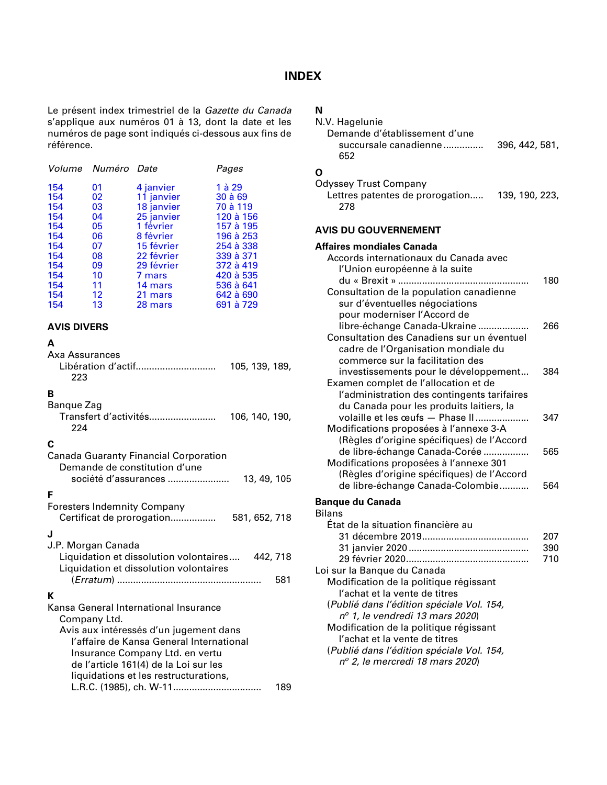### **INDEX**

<span id="page-8-0"></span>Le présent index trimestriel de la *Gazette du Canada* s'applique aux numéros 01 à 13, dont la date et les numéros de page sont indiqués ci-dessous aux fins de référence.

|    |            | Pages              |
|----|------------|--------------------|
| 01 | 4 janvier  | 1 à 29             |
| 02 | 11 janvier | 30 à 69            |
| 03 | 18 janvier | 70 à 119           |
| 04 | 25 janvier | 120 à 156          |
| 05 | 1 février  | 157 à 195          |
| 06 | 8 février  | 196 à 253          |
| 07 | 15 février | 254 à 338          |
| 08 | 22 février | 339 à 371          |
| 09 | 29 février | 372 à 419          |
| 10 | 7 mars     | 420 à 535          |
| 11 | 14 mars    | 536 à 641          |
| 12 | 21 mars    | 642 à 690          |
| 13 | 28 mars    | 691 à 729          |
|    |            | Volume Numéro Date |

#### **AVIS DIVERS**

#### **A**

| Axa Assurances |  |  |  |  |  |
|----------------|--|--|--|--|--|
|                |  |  |  |  |  |

| Libération d'actif | 105, 139, 189, |
|--------------------|----------------|
| -223               |                |

## **B**

| Bangue Zag            |                |
|-----------------------|----------------|
| Transfert d'activités | 106, 140, 190, |
| 224                   |                |
| C                     |                |

#### **C**

| <b>Canada Guaranty Financial Corporation</b><br>Demande de constitution d'une<br>société d'assurances<br>13, 49, 105 |     |
|----------------------------------------------------------------------------------------------------------------------|-----|
| F                                                                                                                    |     |
| <b>Foresters Indemnity Company</b><br>Certificat de prorogation<br>581, 652, 718                                     |     |
| J                                                                                                                    |     |
| J.P. Morgan Canada                                                                                                   |     |
| Liquidation et dissolution volontaires 442, 718<br>Liquidation et dissolution volontaires                            |     |
|                                                                                                                      | 581 |
| К                                                                                                                    |     |
| Kansa General International Insurance<br>Company Ltd.                                                                |     |
| Avis aux intéressés d'un jugement dans                                                                               |     |
| l'affaire de Kansa General International<br>Insurance Company Ltd. en vertu                                          |     |
| de l'article 161(4) de la Loi sur les                                                                                |     |
| liquidations et les restructurations,                                                                                |     |
|                                                                                                                      | 189 |

## **N**

| N<br>N.V. Hagelunie<br>Demande d'établissement d'une<br>succursale canadienne<br>396, 442, 581,<br>652                                                                                                                                                                                                                                                              |     |
|---------------------------------------------------------------------------------------------------------------------------------------------------------------------------------------------------------------------------------------------------------------------------------------------------------------------------------------------------------------------|-----|
| Ο<br><b>Odyssey Trust Company</b><br>Lettres patentes de prorogation<br>139, 190, 223,<br>278                                                                                                                                                                                                                                                                       |     |
| <b>AVIS DU GOUVERNEMENT</b>                                                                                                                                                                                                                                                                                                                                         |     |
| Affaires mondiales Canada                                                                                                                                                                                                                                                                                                                                           |     |
| Accords internationaux du Canada avec<br>l'Union européenne à la suite<br>du « Brexit »<br>Consultation de la population canadienne<br>sur d'éventuelles négociations                                                                                                                                                                                               | 180 |
| pour moderniser l'Accord de<br>libre-échange Canada-Ukraine<br>Consultation des Canadiens sur un éventuel<br>cadre de l'Organisation mondiale du                                                                                                                                                                                                                    | 266 |
| commerce sur la facilitation des<br>investissements pour le développement<br>Examen complet de l'allocation et de<br>l'administration des contingents tarifaires                                                                                                                                                                                                    | 384 |
| du Canada pour les produits laitiers, la<br>volaille et les œufs - Phase II<br>Modifications proposées à l'annexe 3-A<br>(Règles d'origine spécifiques) de l'Accord                                                                                                                                                                                                 | 347 |
| de libre-échange Canada-Corée<br>Modifications proposées à l'annexe 301<br>(Règles d'origine spécifiques) de l'Accord                                                                                                                                                                                                                                               | 565 |
| de libre-échange Canada-Colombie                                                                                                                                                                                                                                                                                                                                    | 564 |
| <b>Banque du Canada</b><br><b>Bilans</b><br>État de la situation financière au                                                                                                                                                                                                                                                                                      | 207 |
|                                                                                                                                                                                                                                                                                                                                                                     | 390 |
| Loi sur la Banque du Canada<br>Modification de la politique régissant<br>l'achat et la vente de titres<br>(Publié dans l'édition spéciale Vol. 154,<br>$n^{\circ}$ 1, le vendredi 13 mars 2020)<br>Modification de la politique régissant<br>l'achat et la vente de titres<br>(Publié dans l'édition spéciale Vol. 154,<br>$n^{\circ}$ 2, le mercredi 18 mars 2020) | 710 |
|                                                                                                                                                                                                                                                                                                                                                                     |     |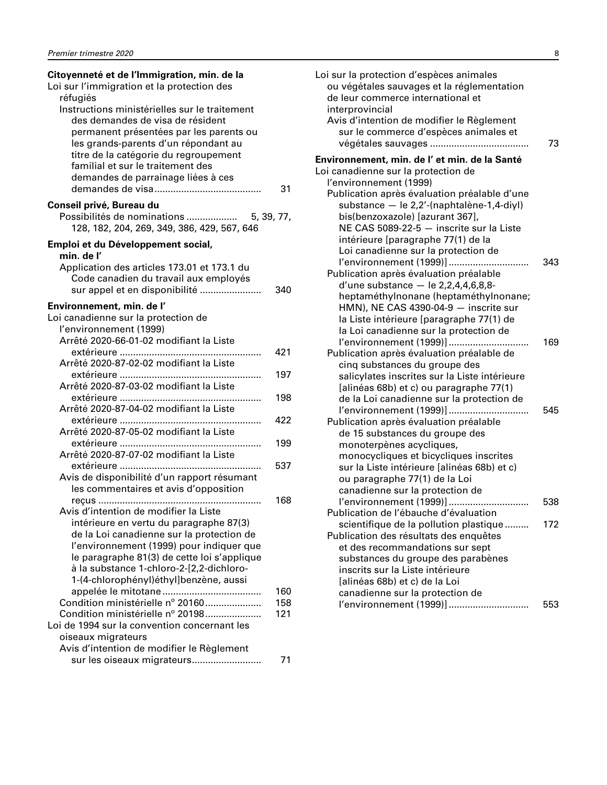| Citoyenneté et de l'Immigration, min. de la<br>Loi sur l'immigration et la protection des<br>réfugiés                                                                                                                                                                                    |            |
|------------------------------------------------------------------------------------------------------------------------------------------------------------------------------------------------------------------------------------------------------------------------------------------|------------|
| Instructions ministérielles sur le traitement<br>des demandes de visa de résident<br>permanent présentées par les parents ou<br>les grands-parents d'un répondant au<br>titre de la catégorie du regroupement<br>familial et sur le traitement des<br>demandes de parrainage liées à ces | 31         |
|                                                                                                                                                                                                                                                                                          |            |
| Conseil privé, Bureau du<br>Possibilités de nominations<br>128, 182, 204, 269, 349, 386, 429, 567, 646                                                                                                                                                                                   | 5, 39, 77, |
| Emploi et du Développement social,                                                                                                                                                                                                                                                       |            |
| min. de l'                                                                                                                                                                                                                                                                               |            |
| Application des articles 173.01 et 173.1 du<br>Code canadien du travail aux employés<br>sur appel et en disponibilité                                                                                                                                                                    | 340        |
| Environnement, min. de l'                                                                                                                                                                                                                                                                |            |
| Loi canadienne sur la protection de<br>l'environnement (1999)                                                                                                                                                                                                                            |            |
| Arrêté 2020-66-01-02 modifiant la Liste                                                                                                                                                                                                                                                  |            |
|                                                                                                                                                                                                                                                                                          | 421        |
| Arrêté 2020-87-02-02 modifiant la Liste                                                                                                                                                                                                                                                  |            |
|                                                                                                                                                                                                                                                                                          | 197        |
| Arrêté 2020-87-03-02 modifiant la Liste                                                                                                                                                                                                                                                  |            |
| Arrêté 2020-87-04-02 modifiant la Liste                                                                                                                                                                                                                                                  | 198        |
|                                                                                                                                                                                                                                                                                          | 422        |
| Arrêté 2020-87-05-02 modifiant la Liste                                                                                                                                                                                                                                                  |            |
|                                                                                                                                                                                                                                                                                          | 199        |
| Arrêté 2020-87-07-02 modifiant la Liste                                                                                                                                                                                                                                                  |            |
|                                                                                                                                                                                                                                                                                          | 537        |
| Avis de disponibilité d'un rapport résumant                                                                                                                                                                                                                                              |            |
| les commentaires et avis d'opposition                                                                                                                                                                                                                                                    |            |
|                                                                                                                                                                                                                                                                                          | 168        |
| Avis d'intention de modifier la Liste                                                                                                                                                                                                                                                    |            |
| intérieure en vertu du paragraphe 87(3)                                                                                                                                                                                                                                                  |            |
| de la Loi canadienne sur la protection de<br>l'environnement (1999) pour indiquer que                                                                                                                                                                                                    |            |
| le paragraphe 81(3) de cette loi s'applique                                                                                                                                                                                                                                              |            |
| à la substance 1-chloro-2-[2,2-dichloro-                                                                                                                                                                                                                                                 |            |
| 1-(4-chlorophényl)éthyl]benzène, aussi                                                                                                                                                                                                                                                   |            |
|                                                                                                                                                                                                                                                                                          | 160        |
| Condition ministérielle nº 20160                                                                                                                                                                                                                                                         | 158        |
| Condition ministérielle nº 20198                                                                                                                                                                                                                                                         | 121        |
| Loi de 1994 sur la convention concernant les                                                                                                                                                                                                                                             |            |
| oiseaux migrateurs                                                                                                                                                                                                                                                                       |            |
| Avis d'intention de modifier le Règlement                                                                                                                                                                                                                                                |            |
| sur les oiseaux migrateurs                                                                                                                                                                                                                                                               | 71         |

| Loi sur la protection d'espèces animales<br>ou végétales sauvages et la réglementation |     |
|----------------------------------------------------------------------------------------|-----|
| de leur commerce international et                                                      |     |
| interprovincial<br>Avis d'intention de modifier le Règlement                           |     |
| sur le commerce d'espèces animales et                                                  |     |
|                                                                                        | 73  |
| Environnement, min. de l' et min. de la Santé<br>Loi canadienne sur la protection de   |     |
| l'environnement (1999)                                                                 |     |
| Publication après évaluation préalable d'une                                           |     |
| substance - le 2,2'-(naphtalène-1,4-diyl)                                              |     |
| bis(benzoxazole) [azurant 367],                                                        |     |
| NE CAS 5089-22-5 - inscrite sur la Liste                                               |     |
| intérieure [paragraphe 77(1) de la                                                     |     |
| Loi canadienne sur la protection de                                                    |     |
| l'environnement (1999)]                                                                | 343 |
| Publication après évaluation préalable                                                 |     |
| d'une substance - le $2,2,4,4,6,8,8$ -                                                 |     |
| heptaméthylnonane (heptaméthylnonane;                                                  |     |
| $HMN$ ), NE CAS 4390-04-9 $-$ inscrite sur                                             |     |
| la Liste intérieure [paragraphe 77(1) de                                               |     |
| la Loi canadienne sur la protection de<br>l'environnement (1999)]                      | 169 |
| Publication après évaluation préalable de                                              |     |
| cinq substances du groupe des                                                          |     |
| salicylates inscrites sur la Liste intérieure                                          |     |
| [alinéas 68b) et c) ou paragraphe 77(1)                                                |     |
| de la Loi canadienne sur la protection de                                              |     |
| l'environnement (1999)]                                                                | 545 |
| Publication après évaluation préalable                                                 |     |
| de 15 substances du groupe des                                                         |     |
| monoterpènes acycliques,                                                               |     |
| monocycliques et bicycliques inscrites                                                 |     |
| sur la Liste intérieure [alinéas 68b) et c)                                            |     |
| ou paragraphe 77(1) de la Loi<br>canadienne sur la protection de                       |     |
| l'environnement (1999)]                                                                | 538 |
| Publication de l'ébauche d'évaluation                                                  |     |
| scientifique de la pollution plastique                                                 | 172 |
| Publication des résultats des enquêtes                                                 |     |
| et des recommandations sur sept                                                        |     |
| substances du groupe des parabènes                                                     |     |
| inscrits sur la Liste intérieure                                                       |     |
| [alinéas 68b) et c) de la Loi                                                          |     |
| canadienne sur la protection de                                                        |     |
| l'environnement (1999)]                                                                | 553 |
|                                                                                        |     |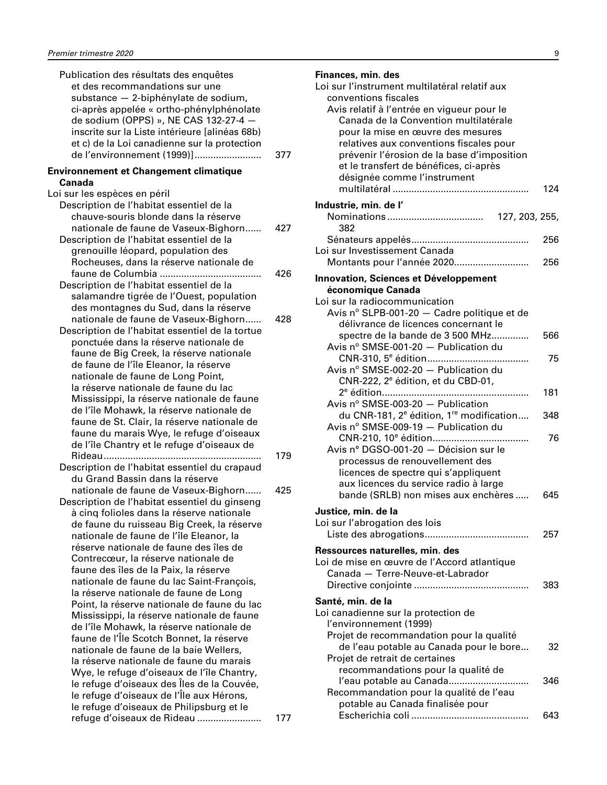| Publication des résultats des enquêtes<br>et des recommandations sur une<br>substance - 2-biphénylate de sodium,<br>ci-après appelée « ortho-phénylphénolate<br>de sodium (OPPS) », NE CAS 132-27-4 -<br>inscrite sur la Liste intérieure [alinéas 68b)<br>et c) de la Loi canadienne sur la protection<br>de l'environnement (1999)] | 377 |
|---------------------------------------------------------------------------------------------------------------------------------------------------------------------------------------------------------------------------------------------------------------------------------------------------------------------------------------|-----|
| <b>Environnement et Changement climatique</b><br>Canada                                                                                                                                                                                                                                                                               |     |
| Loi sur les espèces en péril                                                                                                                                                                                                                                                                                                          |     |
| Description de l'habitat essentiel de la                                                                                                                                                                                                                                                                                              |     |
| chauve-souris blonde dans la réserve                                                                                                                                                                                                                                                                                                  |     |
| nationale de faune de Vaseux-Bighorn                                                                                                                                                                                                                                                                                                  | 427 |
| Description de l'habitat essentiel de la                                                                                                                                                                                                                                                                                              |     |
| grenouille léopard, population des<br>Rocheuses, dans la réserve nationale de                                                                                                                                                                                                                                                         |     |
|                                                                                                                                                                                                                                                                                                                                       | 426 |
| Description de l'habitat essentiel de la                                                                                                                                                                                                                                                                                              |     |
| salamandre tigrée de l'Ouest, population                                                                                                                                                                                                                                                                                              |     |
| des montagnes du Sud, dans la réserve                                                                                                                                                                                                                                                                                                 |     |
| nationale de faune de Vaseux-Bighorn                                                                                                                                                                                                                                                                                                  | 428 |
| Description de l'habitat essentiel de la tortue                                                                                                                                                                                                                                                                                       |     |
| ponctuée dans la réserve nationale de<br>faune de Big Creek, la réserve nationale                                                                                                                                                                                                                                                     |     |
| de faune de l'île Eleanor, la réserve                                                                                                                                                                                                                                                                                                 |     |
| nationale de faune de Long Point,                                                                                                                                                                                                                                                                                                     |     |
| la réserve nationale de faune du lac                                                                                                                                                                                                                                                                                                  |     |
| Mississippi, la réserve nationale de faune                                                                                                                                                                                                                                                                                            |     |
| de l'île Mohawk, la réserve nationale de                                                                                                                                                                                                                                                                                              |     |
| faune de St. Clair, la réserve nationale de                                                                                                                                                                                                                                                                                           |     |
| faune du marais Wye, le refuge d'oiseaux<br>de l'île Chantry et le refuge d'oiseaux de                                                                                                                                                                                                                                                |     |
|                                                                                                                                                                                                                                                                                                                                       | 179 |
| Description de l'habitat essentiel du crapaud                                                                                                                                                                                                                                                                                         |     |
| du Grand Bassin dans la réserve                                                                                                                                                                                                                                                                                                       |     |
| nationale de faune de Vaseux-Bighorn                                                                                                                                                                                                                                                                                                  | 425 |
| Description de l'habitat essentiel du ginseng                                                                                                                                                                                                                                                                                         |     |
| à cing folioles dans la réserve nationale<br>de faune du ruisseau Big Creek, la réserve                                                                                                                                                                                                                                               |     |
| nationale de faune de l'île Eleanor, la                                                                                                                                                                                                                                                                                               |     |
| réserve nationale de faune des îles de                                                                                                                                                                                                                                                                                                |     |
| Contrecœur, la réserve nationale de                                                                                                                                                                                                                                                                                                   |     |
| faune des îles de la Paix, la réserve                                                                                                                                                                                                                                                                                                 |     |
| nationale de faune du lac Saint-François,                                                                                                                                                                                                                                                                                             |     |
| la réserve nationale de faune de Long                                                                                                                                                                                                                                                                                                 |     |
| Point, la réserve nationale de faune du lac<br>Mississippi, la réserve nationale de faune                                                                                                                                                                                                                                             |     |
| de l'île Mohawk, la réserve nationale de                                                                                                                                                                                                                                                                                              |     |
| faune de l'Île Scotch Bonnet, la réserve                                                                                                                                                                                                                                                                                              |     |
| nationale de faune de la baie Wellers,                                                                                                                                                                                                                                                                                                |     |
| la réserve nationale de faune du marais                                                                                                                                                                                                                                                                                               |     |
| Wye, le refuge d'oiseaux de l'île Chantry,                                                                                                                                                                                                                                                                                            |     |
| le refuge d'oiseaux des Îles de la Couvée,                                                                                                                                                                                                                                                                                            |     |
| le refuge d'oiseaux de l'Île aux Hérons,<br>le refuge d'oiseaux de Philipsburg et le                                                                                                                                                                                                                                                  |     |
| refuge d'oiseaux de Rideau                                                                                                                                                                                                                                                                                                            | 177 |
|                                                                                                                                                                                                                                                                                                                                       |     |

| Finances, min. des<br>Loi sur l'instrument multilatéral relatif aux<br>conventions fiscales<br>Avis relatif à l'entrée en vigueur pour le<br>Canada de la Convention multilatérale<br>pour la mise en œuvre des mesures<br>relatives aux conventions fiscales pour<br>prévenir l'érosion de la base d'imposition<br>et le transfert de bénéfices, ci-après<br>désignée comme l'instrument | 124 |
|-------------------------------------------------------------------------------------------------------------------------------------------------------------------------------------------------------------------------------------------------------------------------------------------------------------------------------------------------------------------------------------------|-----|
| Industrie, min. de l'                                                                                                                                                                                                                                                                                                                                                                     |     |
|                                                                                                                                                                                                                                                                                                                                                                                           |     |
| 382                                                                                                                                                                                                                                                                                                                                                                                       |     |
|                                                                                                                                                                                                                                                                                                                                                                                           | 256 |
| Loi sur Investissement Canada<br>Montants pour l'année 2020                                                                                                                                                                                                                                                                                                                               | 256 |
|                                                                                                                                                                                                                                                                                                                                                                                           |     |
| <b>Innovation, Sciences et Développement</b><br>économique Canada                                                                                                                                                                                                                                                                                                                         |     |
| Loi sur la radiocommunication                                                                                                                                                                                                                                                                                                                                                             |     |
| Avis nº SLPB-001-20 - Cadre politique et de                                                                                                                                                                                                                                                                                                                                               |     |
| délivrance de licences concernant le                                                                                                                                                                                                                                                                                                                                                      |     |
| spectre de la bande de 3 500 MHz                                                                                                                                                                                                                                                                                                                                                          | 566 |
| Avis $n^{\circ}$ SMSE-001-20 $-$ Publication du                                                                                                                                                                                                                                                                                                                                           |     |
| Avis nº SMSE-002-20 - Publication du                                                                                                                                                                                                                                                                                                                                                      | 75  |
| CNR-222, 2 <sup>e</sup> édition, et du CBD-01,                                                                                                                                                                                                                                                                                                                                            |     |
| .                                                                                                                                                                                                                                                                                                                                                                                         | 181 |
| Avis nº SMSE-003-20 - Publication                                                                                                                                                                                                                                                                                                                                                         |     |
| du CNR-181, 2 <sup>e</sup> édition, 1 <sup>re</sup> modification                                                                                                                                                                                                                                                                                                                          | 348 |
| Avis nº SMSE-009-19 - Publication du                                                                                                                                                                                                                                                                                                                                                      |     |
|                                                                                                                                                                                                                                                                                                                                                                                           | 76  |
| Avis n° DGSO-001-20 - Décision sur le<br>processus de renouvellement des                                                                                                                                                                                                                                                                                                                  |     |
| licences de spectre qui s'appliquent                                                                                                                                                                                                                                                                                                                                                      |     |
| aux licences du service radio à large                                                                                                                                                                                                                                                                                                                                                     |     |
| bande (SRLB) non mises aux enchères                                                                                                                                                                                                                                                                                                                                                       | 645 |
| Justice, min. de la                                                                                                                                                                                                                                                                                                                                                                       |     |
| Loi sur l'abrogation des lois                                                                                                                                                                                                                                                                                                                                                             |     |
|                                                                                                                                                                                                                                                                                                                                                                                           | 257 |
| Ressources naturelles, min. des                                                                                                                                                                                                                                                                                                                                                           |     |
| Loi de mise en œuvre de l'Accord atlantique                                                                                                                                                                                                                                                                                                                                               |     |
| Canada - Terre-Neuve-et-Labrador                                                                                                                                                                                                                                                                                                                                                          |     |
|                                                                                                                                                                                                                                                                                                                                                                                           | 383 |
| Santé, min. de la                                                                                                                                                                                                                                                                                                                                                                         |     |
| Loi canadienne sur la protection de                                                                                                                                                                                                                                                                                                                                                       |     |
| l'environnement (1999)<br>Projet de recommandation pour la qualité                                                                                                                                                                                                                                                                                                                        |     |
| de l'eau potable au Canada pour le bore                                                                                                                                                                                                                                                                                                                                                   | 32  |
| Projet de retrait de certaines                                                                                                                                                                                                                                                                                                                                                            |     |
| recommandations pour la qualité de                                                                                                                                                                                                                                                                                                                                                        |     |
| l'eau potable au Canada                                                                                                                                                                                                                                                                                                                                                                   | 346 |
| Recommandation pour la qualité de l'eau                                                                                                                                                                                                                                                                                                                                                   |     |
| potable au Canada finalisée pour                                                                                                                                                                                                                                                                                                                                                          | 643 |
|                                                                                                                                                                                                                                                                                                                                                                                           |     |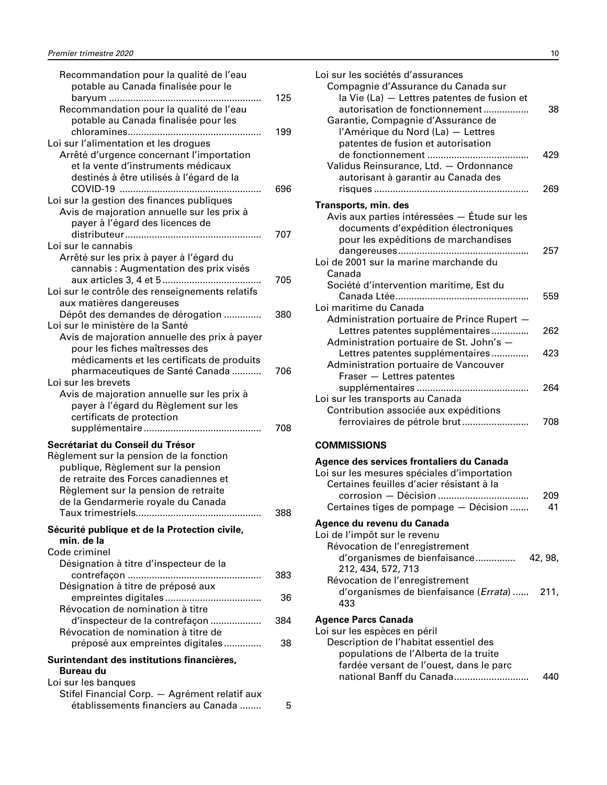<span id="page-11-0"></span>

| Recommandation pour la qualité de l'eau<br>potable au Canada finalisée pour le                                                                                       |     |
|----------------------------------------------------------------------------------------------------------------------------------------------------------------------|-----|
| Recommandation pour la qualité de l'eau                                                                                                                              | 125 |
| potable au Canada finalisée pour les                                                                                                                                 | 199 |
| Loi sur l'alimentation et les drogues<br>Arrêté d'urgence concernant l'importation<br>et la vente d'instruments médicaux<br>destinés à être utilisés à l'égard de la |     |
| Loi sur la gestion des finances publiques                                                                                                                            | 696 |
| Avis de majoration annuelle sur les prix à<br>payer à l'égard des licences de                                                                                        |     |
| Loi sur le cannabis                                                                                                                                                  | 707 |
| Arrêté sur les prix à payer à l'égard du<br>cannabis : Augmentation des prix visés                                                                                   |     |
| Loi sur le contrôle des renseignements relatifs<br>aux matières dangereuses                                                                                          | 705 |
| Dépôt des demandes de dérogation<br>Loi sur le ministère de la Santé                                                                                                 | 380 |
| Avis de majoration annuelle des prix à payer<br>pour les fiches maîtresses des<br>médicaments et les certificats de produits                                         |     |
| pharmaceutiques de Santé Canada<br>Loi sur les brevets                                                                                                               | 706 |
| Avis de majoration annuelle sur les prix à<br>payer à l'égard du Règlement sur les<br>certificats de protection                                                      |     |
|                                                                                                                                                                      | 708 |
| Secrétariat du Conseil du Trésor<br>Règlement sur la pension de la fonction<br>publique, Règlement sur la pension<br>de retraite des Forces canadiennes et           |     |
| Règlement sur la pension de retraite<br>de la Gendarmerie royale du Canada<br>Taux trimestriels                                                                      | 388 |
| Sécurité publique et de la Protection civile,<br>min. de la                                                                                                          |     |
| Code criminel<br>Désignation à titre d'inspecteur de la                                                                                                              |     |
|                                                                                                                                                                      | 383 |
| Désignation à titre de préposé aux<br>Révocation de nomination à titre                                                                                               | 36  |
| d'inspecteur de la contrefaçon<br>Révocation de nomination à titre de                                                                                                | 384 |
| préposé aux empreintes digitales                                                                                                                                     | 38  |
| Surintendant des institutions financières,<br><b>Bureau du</b>                                                                                                       |     |
| Loi sur les banques                                                                                                                                                  |     |
| Stifel Financial Corp. - Agrément relatif aux<br>établissements financiers au Canada                                                                                 | 5   |

| Loi sur les sociétés d'assurances<br>Compagnie d'Assurance du Canada sur<br>la Vie (La) - Lettres patentes de fusion et<br>autorisation de fonctionnement<br>Garantie, Compagnie d'Assurance de<br>l'Amérique du Nord (La) - Lettres<br>patentes de fusion et autorisation | 38         |
|----------------------------------------------------------------------------------------------------------------------------------------------------------------------------------------------------------------------------------------------------------------------------|------------|
| Validus Reinsurance, Ltd. - Ordonnance<br>autorisant à garantir au Canada des                                                                                                                                                                                              | 429<br>269 |
| Transports, min. des<br>Avis aux parties intéressées — Étude sur les<br>documents d'expédition électroniques<br>pour les expéditions de marchandises                                                                                                                       |            |
| Loi de 2001 sur la marine marchande du<br>Canada                                                                                                                                                                                                                           | 257        |
| Société d'intervention maritime, Est du<br>Loi maritime du Canada<br>Administration portuaire de Prince Rupert -                                                                                                                                                           | 559        |
| Lettres patentes supplémentaires<br>Administration portuaire de St. John's -                                                                                                                                                                                               | 262        |
| Lettres patentes supplémentaires<br>Administration portuaire de Vancouver<br>Fraser - Lettres patentes                                                                                                                                                                     | 423        |
| Loi sur les transports au Canada                                                                                                                                                                                                                                           | 264        |
| Contribution associée aux expéditions<br>ferroviaires de pétrole brut                                                                                                                                                                                                      | 708        |
| <b>COMMISSIONS</b>                                                                                                                                                                                                                                                         |            |
| Agence des services frontaliers du Canada<br>Loi sur les mesures spéciales d'importation<br>Certaines feuilles d'acier résistant à la<br>Certaines tiges de pompage - Décision                                                                                             | 209<br>41  |
| Agence du revenu du Canada<br>Loi de l'impôt sur le revenu                                                                                                                                                                                                                 |            |

| LUI UU I IIIIDUL SUI IU IUVUIU              |         |
|---------------------------------------------|---------|
| Révocation de l'enregistrement              |         |
| d'organismes de bienfaisance                | 42, 98, |
| 212, 434, 572, 713                          |         |
| Révocation de l'enregistrement              |         |
| d'organismes de bienfaisance (Errata)  211, |         |
| 433                                         |         |
| Agence Parcs Canada                         |         |
| Loi sur les espèces en péril                |         |
|                                             |         |

| Description de l'habitat essentiel des  |     |
|-----------------------------------------|-----|
| populations de l'Alberta de la truite   |     |
| fardée versant de l'ouest, dans le parc |     |
|                                         | 440 |
|                                         |     |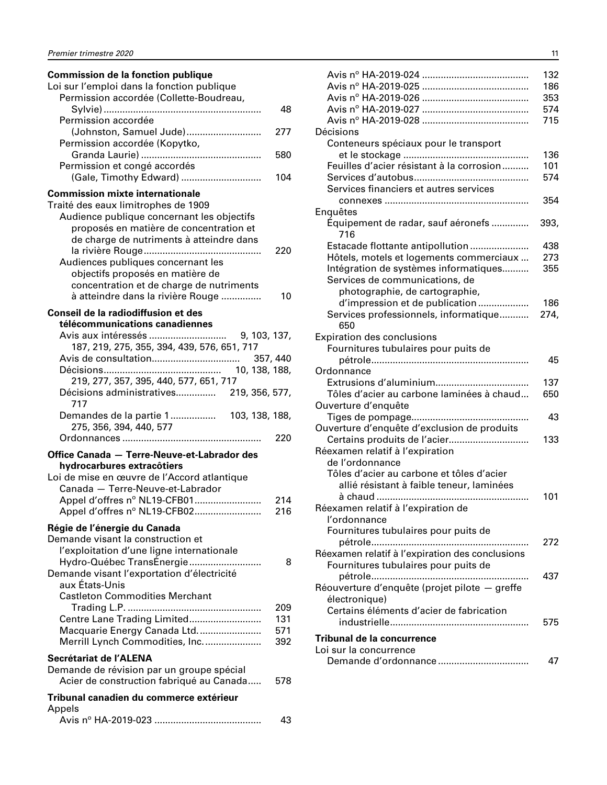# **Commission de la fonction publique**

| Loi sur l'emploi dans la fonction publique<br>Permission accordée (Collette-Boudreau,                                                                                                                                                                                                                                                    |                   |
|------------------------------------------------------------------------------------------------------------------------------------------------------------------------------------------------------------------------------------------------------------------------------------------------------------------------------------------|-------------------|
| Permission accordée                                                                                                                                                                                                                                                                                                                      | 48                |
| (Johnston, Samuel Jude)<br>Permission accordée (Kopytko,                                                                                                                                                                                                                                                                                 | 277               |
| Permission et congé accordés                                                                                                                                                                                                                                                                                                             | 580               |
| (Gale, Timothy Edward)                                                                                                                                                                                                                                                                                                                   | 104               |
| <b>Commission mixte internationale</b><br>Traité des eaux limitrophes de 1909<br>Audience publique concernant les objectifs<br>proposés en matière de concentration et<br>de charge de nutriments à atteindre dans<br>Audiences publiques concernant les<br>objectifs proposés en matière de<br>concentration et de charge de nutriments | 220               |
| à atteindre dans la rivière Rouge<br>Conseil de la radiodiffusion et des                                                                                                                                                                                                                                                                 | 10                |
| télécommunications canadiennes<br>187, 219, 275, 355, 394, 439, 576, 651, 717                                                                                                                                                                                                                                                            |                   |
| 219, 277, 357, 395, 440, 577, 651, 717                                                                                                                                                                                                                                                                                                   |                   |
| Décisions administratives 219, 356, 577,<br>717                                                                                                                                                                                                                                                                                          |                   |
| Demandes de la partie 1<br>103, 138, 188,<br>275, 356, 394, 440, 577                                                                                                                                                                                                                                                                     |                   |
| Office Canada - Terre-Neuve-et-Labrador des                                                                                                                                                                                                                                                                                              | 220               |
| hydrocarbures extracôtiers<br>Loi de mise en œuvre de l'Accord atlantique<br>Canada - Terre-Neuve-et-Labrador<br>Appel d'offres nº NL19-CFB01                                                                                                                                                                                            | 214               |
| Appel d'offres nº NL19-CFB02                                                                                                                                                                                                                                                                                                             | 216               |
| Régie de l'énergie du Canada<br>Demande visant la construction et<br>l'exploitation d'une ligne internationale                                                                                                                                                                                                                           |                   |
| Hydro-Québec TransÉnergie<br>Demande visant l'exportation d'électricité<br>aux États-Unis<br><b>Castleton Commodities Merchant</b>                                                                                                                                                                                                       | 8                 |
| Centre Lane Trading Limited<br>Macquarie Energy Canada Ltd                                                                                                                                                                                                                                                                               | 209<br>131<br>571 |
| Merrill Lynch Commodities, Inc.<br>Secrétariat de l'ALENA                                                                                                                                                                                                                                                                                | 392               |
| Demande de révision par un groupe spécial<br>Acier de construction fabriqué au Canada                                                                                                                                                                                                                                                    | 578               |
| Tribunal canadien du commerce extérieur<br>Appels                                                                                                                                                                                                                                                                                        |                   |
|                                                                                                                                                                                                                                                                                                                                          | 43                |

|                                                 | 132  |
|-------------------------------------------------|------|
|                                                 | 186  |
|                                                 | 353  |
|                                                 | 574  |
|                                                 | 715  |
| Décisions                                       |      |
| Conteneurs spéciaux pour le transport           |      |
|                                                 | 136  |
| Feuilles d'acier résistant à la corrosion       | 101  |
|                                                 | 574  |
| Services financiers et autres services          |      |
|                                                 | 354  |
| Enquêtes                                        |      |
| Équipement de radar, sauf aéronefs<br>716       | 393, |
| Estacade flottante antipollution                | 438  |
| Hôtels, motels et logements commerciaux         | 273  |
| Intégration de systèmes informatiques           | 355  |
| Services de communications, de                  |      |
| photographie, de cartographie,                  |      |
| d'impression et de publication                  | 186  |
| Services professionnels, informatique           | 274, |
| 650                                             |      |
| <b>Expiration des conclusions</b>               |      |
| Fournitures tubulaires pour puits de            |      |
|                                                 | 45   |
| Ordonnance                                      |      |
|                                                 | 137  |
| Tôles d'acier au carbone laminées à chaud       | 650  |
| Ouverture d'enquête                             |      |
| Tiges de pompage                                | 43   |
| Ouverture d'enquête d'exclusion de produits     |      |
| Certains produits de l'acier                    | 133  |
| Réexamen relatif à l'expiration                 |      |
| de l'ordonnance                                 |      |
| Tôles d'acier au carbone et tôles d'acier       |      |
| allié résistant à faible teneur, laminées       |      |
|                                                 | 101  |
| Réexamen relatif à l'expiration de              |      |
| l'ordonnance                                    |      |
| Fournitures tubulaires pour puits de            |      |
|                                                 | 272  |
| Réexamen relatif à l'expiration des conclusions |      |
| Fournitures tubulaires pour puits de            |      |
|                                                 | 437  |
| Réouverture d'enquête (projet pilote - greffe   |      |
| électronique)                                   |      |
| Certains éléments d'acier de fabrication        |      |
|                                                 | 575  |
|                                                 |      |
| Tribunal de la concurrence                      |      |
| Loi sur la concurrence                          |      |
|                                                 | 47   |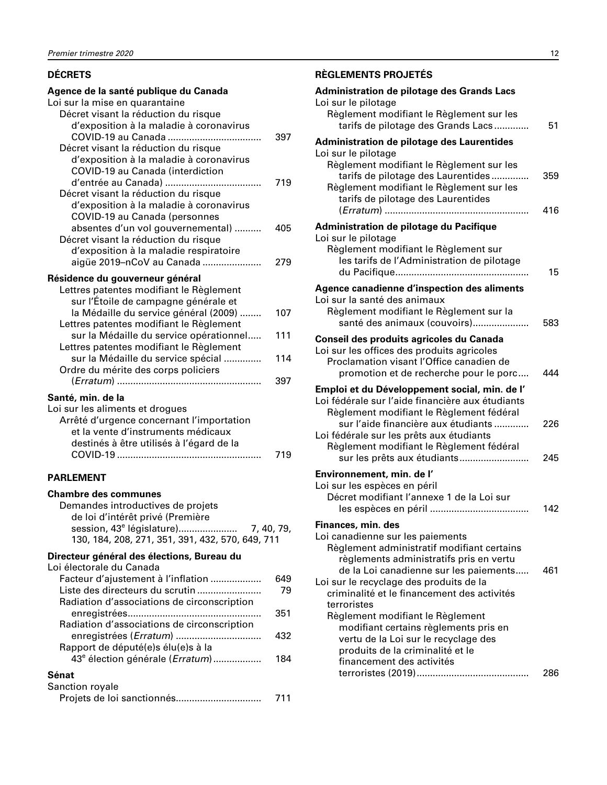#### <span id="page-13-0"></span>**DÉCRETS**

#### **Agence de la santé publique du Canada** Loi sur la mise en quarantaine Décret visant la réduction du risque d'exposition à la maladie à coronavirus COVID-19 au Canada ................................... 397 Décret visant la réduction du risque d'exposition à la maladie à coronavirus COVID-19 au Canada (interdiction d'entrée au Canada) .................................... 719 Décret visant la réduction du risque d'exposition à la maladie à coronavirus COVID-19 au Canada (personnes absentes d'un vol gouvernemental) .......... 405 Décret visant la réduction du risque d'exposition à la maladie respiratoire aigüe 2019–nCoV au Canada ...................... 279 **Résidence du gouverneur général** Lettres patentes modifiant le Règlement sur l'Étoile de campagne générale et la Médaille du service général (2009) ........ 107 Lettres patentes modifiant le Règlement sur la Médaille du service opérationnel..... 111 Lettres patentes modifiant le Règlement sur la Médaille du service spécial .............. 114 Ordre du mérite des corps policiers (*Erratum*) ...................................................... 397 **Santé, min. de la**  Loi sur les aliments et drogues Arrêté d'urgence concernant l'importation et la vente d'instruments médicaux

#### **PARLEMENT**

#### **Chambre des communes**

| Demandes introductives de projets                                                                               |  |
|-----------------------------------------------------------------------------------------------------------------|--|
| de loi d'intérêt privé (Première                                                                                |  |
|                                                                                                                 |  |
| 130, 184, 208, 271, 351, 391, 432, 570, 649, 711                                                                |  |
| March 1986, and the Control of the Control of the Control of the Control of the Control of the Control of the C |  |

COVID-19 ...................................................... 719

destinés à être utilisés à l'égard de la

#### **Directeur général des élections, Bureau du**

Loi électorale du Canada

| Facteur d'ajustement à l'inflation          | 349 |
|---------------------------------------------|-----|
| Liste des directeurs du scrutin             | 79  |
| Radiation d'associations de circonscription |     |
|                                             | 351 |
| Radiation d'associations de circonscription |     |
|                                             | 432 |
| Rapport de député(e)s élu(e)s à la          |     |
| 43 <sup>e</sup> élection générale (Erratum) | 184 |
| Sénat                                       |     |
| Sanction royale                             |     |

| 001100011 1 0 y 010 |     |
|---------------------|-----|
|                     | 711 |

#### **RÈGLEMENTS PROJETÉS**

| Administration de pilotage des Grands Lacs<br>Loi sur le pilotage                                                                                                                                                                                                                                           |            |
|-------------------------------------------------------------------------------------------------------------------------------------------------------------------------------------------------------------------------------------------------------------------------------------------------------------|------------|
| Règlement modifiant le Règlement sur les<br>tarifs de pilotage des Grands Lacs                                                                                                                                                                                                                              | 51         |
| Administration de pilotage des Laurentides<br>Loi sur le pilotage                                                                                                                                                                                                                                           |            |
| Règlement modifiant le Règlement sur les<br>tarifs de pilotage des Laurentides<br>Règlement modifiant le Règlement sur les<br>tarifs de pilotage des Laurentides                                                                                                                                            | 359<br>416 |
| Administration de pilotage du Pacifique                                                                                                                                                                                                                                                                     |            |
| Loi sur le pilotage<br>Règlement modifiant le Règlement sur<br>les tarifs de l'Administration de pilotage                                                                                                                                                                                                   | 15         |
| Agence canadienne d'inspection des aliments                                                                                                                                                                                                                                                                 |            |
| Loi sur la santé des animaux<br>Règlement modifiant le Règlement sur la<br>santé des animaux (couvoirs)                                                                                                                                                                                                     | 583        |
| Conseil des produits agricoles du Canada<br>Loi sur les offices des produits agricoles<br>Proclamation visant l'Office canadien de<br>promotion et de recherche pour le porc                                                                                                                                | 444        |
| Emploi et du Développement social, min. de l'<br>Loi fédérale sur l'aide financière aux étudiants<br>Règlement modifiant le Règlement fédéral<br>sur l'aide financière aux étudiants<br>Loi fédérale sur les prêts aux étudiants<br>Règlement modifiant le Règlement fédéral<br>sur les prêts aux étudiants | 226<br>245 |
| Environnement, min. de l'                                                                                                                                                                                                                                                                                   |            |
| Loi sur les espèces en péril<br>Décret modifiant l'annexe 1 de la Loi sur                                                                                                                                                                                                                                   | 142        |
| Finances, min. des<br>Loi canadienne sur les paiements<br>Règlement administratif modifiant certains<br>règlements administratifs pris en vertu<br>de la Loi canadienne sur les paiements                                                                                                                   | 461        |
| Loi sur le recyclage des produits de la<br>criminalité et le financement des activités<br>terroristes<br>Règlement modifiant le Règlement<br>modifiant certains règlements pris en<br>vertu de la Loi sur le recyclage des                                                                                  |            |
| produits de la criminalité et le<br>financement des activités                                                                                                                                                                                                                                               | 286        |